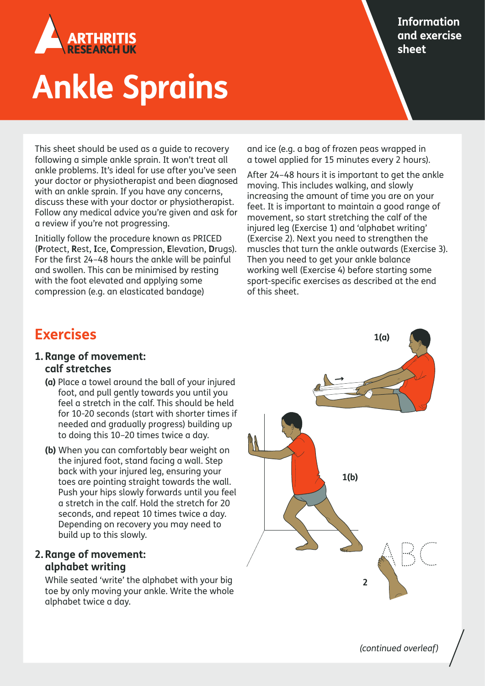

# **Ankle Sprains**

This sheet should be used as a guide to recovery following a simple ankle sprain. It won't treat all ankle problems. It's ideal for use after you've seen your doctor or physiotherapist and been diagnosed with an ankle sprain. If you have any concerns, discuss these with your doctor or physiotherapist. Follow any medical advice you're given and ask for a review if you're not progressing.

Initially follow the procedure known as PRICED (**P**rotect, **R**est, **I**ce, **C**ompression, **E**levation, **D**rugs). For the first 24–48 hours the ankle will be painful and swollen. This can be minimised by resting with the foot elevated and applying some compression (e.g. an elasticated bandage)

and ice (e.g. a bag of frozen peas wrapped in a towel applied for 15 minutes every 2 hours).

After 24–48 hours it is important to get the ankle moving. This includes walking, and slowly increasing the amount of time you are on your feet. It is important to maintain a good range of movement, so start stretching the calf of the injured leg (Exercise 1) and 'alphabet writing' (Exercise 2). Next you need to strengthen the muscles that turn the ankle outwards (Exercise 3). Then you need to get your ankle balance working well (Exercise 4) before starting some sport-specific exercises as described at the end of this sheet.

# **Exercises**

- **1. Range of movement: calf stretches**
	- **(a)** Place a towel around the ball of your injured foot, and pull gently towards you until you feel a stretch in the calf. This should be held for 10-20 seconds (start with shorter times if needed and gradually progress) building up to doing this 10–20 times twice a day.
	- **(b)** When you can comfortably bear weight on the injured foot, stand facing a wall. Step back with your injured leg, ensuring your toes are pointing straight towards the wall. Push your hips slowly forwards until you feel a stretch in the calf. Hold the stretch for 20 seconds, and repeat 10 times twice a day. Depending on recovery you may need to build up to this slowly.

## **2. Range of movement: alphabet writing**

 While seated 'write' the alphabet with your big toe by only moving your ankle. Write the whole alphabet twice a day.